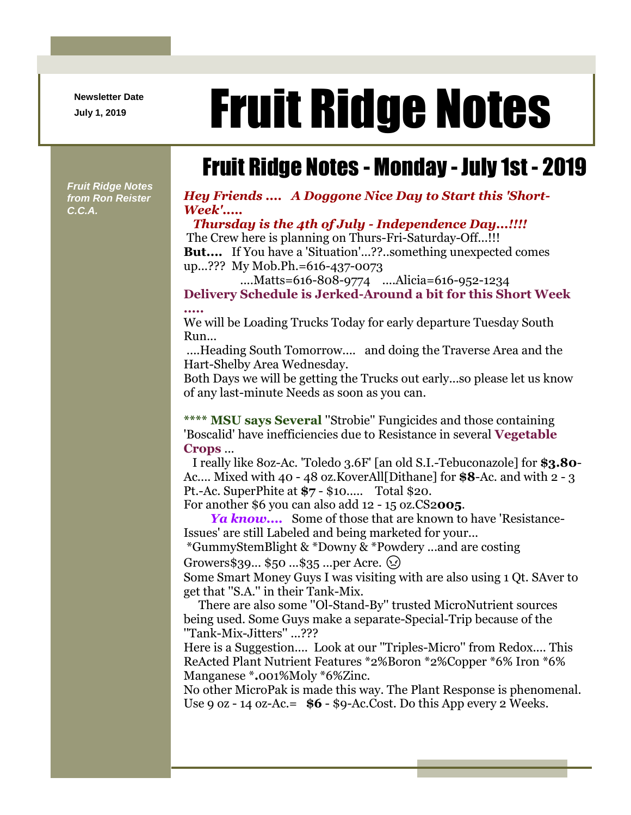**Newsletter Date**

# Newsletter Date **Fruit Ridge Notes**

# Fruit Ridge Notes - Monday - July 1st - 2019

*Fruit Ridge Notes from Ron Reister C.C.A.*

#### *Hey Friends .... A Doggone Nice Day to Start this 'Short-Week'.....*

*Thursday is the 4th of July - Independence Day...!!!!* The Crew here is planning on Thurs-Fri-Saturday-Off...!!! **But....** If You have a 'Situation'...??..something unexpected comes up...??? My Mob.Ph.=616-437-0073

....Matts=616-808-9774 ....Alicia=616-952-1234 **Delivery Schedule is Jerked-Around a bit for this Short Week .....**

We will be Loading Trucks Today for early departure Tuesday South Run...

....Heading South Tomorrow.... and doing the Traverse Area and the Hart-Shelby Area Wednesday.

Both Days we will be getting the Trucks out early...so please let us know of any last-minute Needs as soon as you can.

**\*\*\*\* MSU says Several** ''Strobie'' Fungicides and those containing 'Boscalid' have inefficiencies due to Resistance in several **Vegetable Crops** ...

I really like 8oz-Ac. 'Toledo 3.6F' [an old S.I.-Tebuconazole] for **\$3.80**- Ac.... Mixed with 40 - 48 oz.KoverAll[Dithane] for **\$8**-Ac. and with 2 - 3 Pt.-Ac. SuperPhite at **\$7** - \$10..... Total \$20.

For another \$6 you can also add 12 - 15 oz.CS2**005**.

*Ya know....* Some of those that are known to have 'Resistance-Issues' are still Labeled and being marketed for your...

\*GummyStemBlight & \*Downy & \*Powdery ...and are costing

Growers \$39...  $$50...$35...per$  Acre.  $(2)$ 

Some Smart Money Guys I was visiting with are also using 1 Qt. SAver to get that ''S.A.'' in their Tank-Mix.

There are also some ''Ol-Stand-By'' trusted MicroNutrient sources being used. Some Guys make a separate-Special-Trip because of the ''Tank-Mix-Jitters'' ...???

Here is a Suggestion.... Look at our ''Triples-Micro'' from Redox.... This ReActed Plant Nutrient Features \*2%Boron \*2%Copper \*6% Iron \*6% Manganese \***.**001%Moly \*6%Zinc.

No other MicroPak is made this way. The Plant Response is phenomenal. Use 9 oz - 14 oz-Ac.=  $$6 - $9$ -Ac.Cost. Do this App every 2 Weeks.